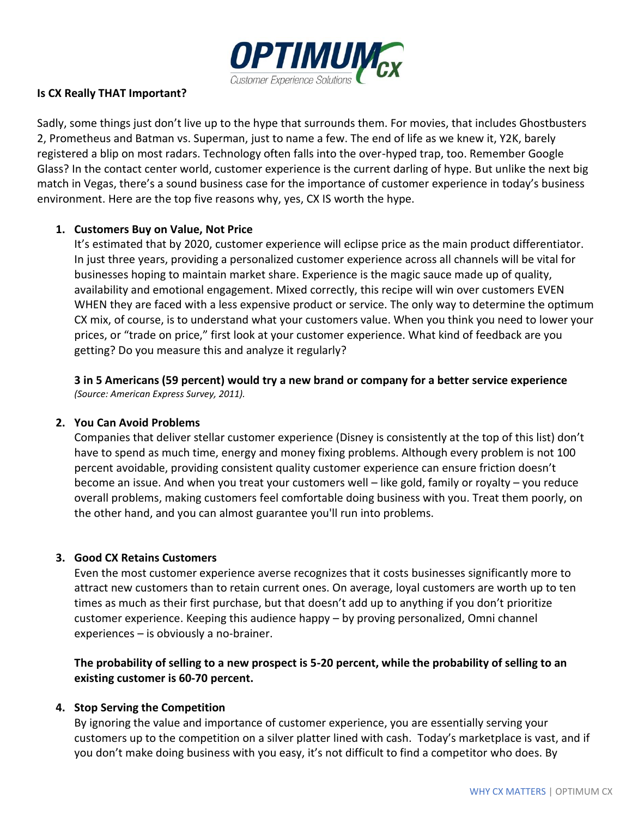

### **Is CX Really THAT Important?**

Sadly, some things just don't live up to the hype that surrounds them. For movies, that includes Ghostbusters 2, Prometheus and Batman vs. Superman, just to name a few. The end of life as we knew it, Y2K, barely registered a blip on most radars. Technology often falls into the over-hyped trap, too. Remember Google Glass? In the contact center world, customer experience is the current darling of hype. But unlike the next big match in Vegas, there's a sound business case for the importance of customer experience in today's business environment. Here are the top five reasons why, yes, CX IS worth the hype.

## **1. Customers Buy on Value, Not Price**

It's estimated that by 2020, customer experience will eclipse price as the main product differentiator. In just three years, providing a personalized customer experience across all channels will be vital for businesses hoping to maintain market share. Experience is the magic sauce made up of quality, availability and emotional engagement. Mixed correctly, this recipe will win over customers EVEN WHEN they are faced with a less expensive product or service. The only way to determine the optimum CX mix, of course, is to understand what your customers value. When you think you need to lower your prices, or "trade on price," first look at your customer experience. What kind of feedback are you getting? Do you measure this and analyze it regularly?

**3 in 5 Americans (59 percent) would try a new brand or company for a better service experience** *(Source: American Express Survey, 2011).*

#### **2. You Can Avoid Problems**

Companies that deliver stellar customer experience (Disney is consistently at the top of this list) don't have to spend as much time, energy and money fixing problems. Although every problem is not 100 percent avoidable, providing consistent quality customer experience can ensure friction doesn't become an issue. And when you treat your customers well – like gold, family or royalty – you reduce overall problems, making customers feel comfortable doing business with you. Treat them poorly, on the other hand, and you can almost guarantee you'll run into problems.

#### **3. Good CX Retains Customers**

Even the most customer experience averse recognizes that it costs businesses significantly more to attract new customers than to retain current ones. On average, loyal customers are worth up to ten times as much as their first purchase, but that doesn't add up to anything if you don't prioritize customer experience. Keeping this audience happy – by proving personalized, Omni channel experiences – is obviously a no-brainer.

**The probability of selling to a new prospect is 5-20 percent, while the probability of selling to an existing customer is 60-70 percent.**

#### **4. Stop Serving the Competition**

By ignoring the value and importance of customer experience, you are essentially serving your customers up to the competition on a silver platter lined with cash. Today's marketplace is vast, and if you don't make doing business with you easy, it's not difficult to find a competitor who does. By